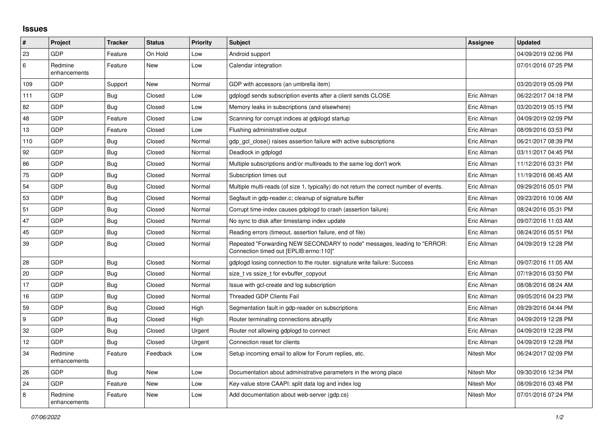## **Issues**

| #   | Project                 | <b>Tracker</b> | <b>Status</b> | <b>Priority</b> | <b>Subject</b>                                                                                                      | Assignee    | <b>Updated</b>      |
|-----|-------------------------|----------------|---------------|-----------------|---------------------------------------------------------------------------------------------------------------------|-------------|---------------------|
| 23  | GDP                     | Feature        | On Hold       | Low             | Android support                                                                                                     |             | 04/09/2019 02:06 PM |
| 6   | Redmine<br>enhancements | Feature        | <b>New</b>    | Low             | Calendar integration                                                                                                |             | 07/01/2016 07:25 PM |
| 109 | <b>GDP</b>              | Support        | New           | Normal          | GDP with accessors (an umbrella item)                                                                               |             | 03/20/2019 05:09 PM |
| 111 | <b>GDP</b>              | <b>Bug</b>     | Closed        | Low             | gdplogd sends subscription events after a client sends CLOSE                                                        | Eric Allman | 06/22/2017 04:18 PM |
| 82  | GDP                     | Bug            | Closed        | Low             | Memory leaks in subscriptions (and elsewhere)                                                                       | Eric Allman | 03/20/2019 05:15 PM |
| 48  | <b>GDP</b>              | Feature        | Closed        | Low             | Scanning for corrupt indices at gdplogd startup                                                                     | Eric Allman | 04/09/2019 02:09 PM |
| 13  | <b>GDP</b>              | Feature        | Closed        | Low             | Flushing administrative output                                                                                      | Eric Allman | 08/09/2016 03:53 PM |
| 110 | GDP                     | Bug            | Closed        | Normal          | adp acl close() raises assertion failure with active subscriptions                                                  | Eric Allman | 06/21/2017 08:39 PM |
| 92  | <b>GDP</b>              | <b>Bug</b>     | Closed        | Normal          | Deadlock in gdplogd                                                                                                 | Eric Allman | 03/11/2017 04:45 PM |
| 86  | <b>GDP</b>              | <b>Bug</b>     | Closed        | Normal          | Multiple subscriptions and/or multireads to the same log don't work                                                 | Eric Allman | 11/12/2016 03:31 PM |
| 75  | <b>GDP</b>              | Bug            | Closed        | Normal          | Subscription times out                                                                                              | Eric Allman | 11/19/2016 06:45 AM |
| 54  | <b>GDP</b>              | <b>Bug</b>     | Closed        | Normal          | Multiple multi-reads (of size 1, typically) do not return the correct number of events.                             | Eric Allman | 09/29/2016 05:01 PM |
| 53  | GDP                     | <b>Bug</b>     | Closed        | Normal          | Segfault in gdp-reader.c; cleanup of signature buffer                                                               | Eric Allman | 09/23/2016 10:06 AM |
| 51  | GDP                     | <b>Bug</b>     | Closed        | Normal          | Corrupt time-index causes gdplogd to crash (assertion failure)                                                      | Eric Allman | 08/24/2016 05:31 PM |
| 47  | <b>GDP</b>              | Bug            | Closed        | Normal          | No sync to disk after timestamp index update                                                                        | Eric Allman | 09/07/2016 11:03 AM |
| 45  | <b>GDP</b>              | <b>Bug</b>     | Closed        | Normal          | Reading errors (timeout, assertion failure, end of file)                                                            | Eric Allman | 08/24/2016 05:51 PM |
| 39  | <b>GDP</b>              | <b>Bug</b>     | Closed        | Normal          | Repeated "Forwarding NEW SECONDARY to node" messages, leading to "ERROR:<br>Connection timed out [EPLIB:errno:110]" | Eric Allman | 04/09/2019 12:28 PM |
| 28  | <b>GDP</b>              | <b>Bug</b>     | Closed        | Normal          | gdplogd losing connection to the router, signature write failure: Success                                           | Eric Allman | 09/07/2016 11:05 AM |
| 20  | <b>GDP</b>              | <b>Bug</b>     | Closed        | Normal          | size t vs ssize t for evbuffer copyout                                                                              | Eric Allman | 07/19/2016 03:50 PM |
| 17  | <b>GDP</b>              | Bug            | Closed        | Normal          | Issue with gcl-create and log subscription                                                                          | Eric Allman | 08/08/2016 08:24 AM |
| 16  | GDP                     | <b>Bug</b>     | Closed        | Normal          | <b>Threaded GDP Clients Fail</b>                                                                                    | Eric Allman | 09/05/2016 04:23 PM |
| 59  | <b>GDP</b>              | <b>Bug</b>     | Closed        | High            | Segmentation fault in gdp-reader on subscriptions                                                                   | Eric Allman | 09/29/2016 04:44 PM |
| 9   | <b>GDP</b>              | <b>Bug</b>     | Closed        | High            | Router terminating connections abruptly                                                                             | Eric Allman | 04/09/2019 12:28 PM |
| 32  | <b>GDP</b>              | <b>Bug</b>     | Closed        | Urgent          | Router not allowing gdplogd to connect                                                                              | Eric Allman | 04/09/2019 12:28 PM |
| 12  | <b>GDP</b>              | <b>Bug</b>     | Closed        | Urgent          | Connection reset for clients                                                                                        | Eric Allman | 04/09/2019 12:28 PM |
| 34  | Redmine<br>enhancements | Feature        | Feedback      | Low             | Setup incoming email to allow for Forum replies, etc.                                                               | Nitesh Mor  | 06/24/2017 02:09 PM |
| 26  | <b>GDP</b>              | <b>Bug</b>     | <b>New</b>    | Low             | Documentation about administrative parameters in the wrong place                                                    | Nitesh Mor  | 09/30/2016 12:34 PM |
| 24  | <b>GDP</b>              | Feature        | New           | Low             | Key-value store CAAPI: split data log and index log                                                                 | Nitesh Mor  | 08/09/2016 03:48 PM |
| 8   | Redmine<br>enhancements | Feature        | <b>New</b>    | Low             | Add documentation about web-server (gdp.cs)                                                                         | Nitesh Mor  | 07/01/2016 07:24 PM |